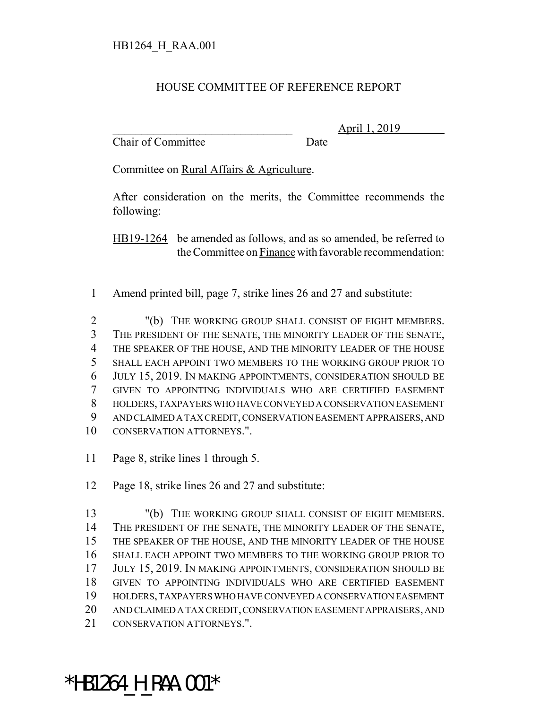## HOUSE COMMITTEE OF REFERENCE REPORT

Chair of Committee Date

\_\_\_\_\_\_\_\_\_\_\_\_\_\_\_\_\_\_\_\_\_\_\_\_\_\_\_\_\_\_\_ April 1, 2019

Committee on Rural Affairs & Agriculture.

After consideration on the merits, the Committee recommends the following:

HB19-1264 be amended as follows, and as so amended, be referred to the Committee on Finance with favorable recommendation:

Amend printed bill, page 7, strike lines 26 and 27 and substitute:

 "(b) THE WORKING GROUP SHALL CONSIST OF EIGHT MEMBERS. THE PRESIDENT OF THE SENATE, THE MINORITY LEADER OF THE SENATE, THE SPEAKER OF THE HOUSE, AND THE MINORITY LEADER OF THE HOUSE SHALL EACH APPOINT TWO MEMBERS TO THE WORKING GROUP PRIOR TO JULY 15, 2019. IN MAKING APPOINTMENTS, CONSIDERATION SHOULD BE GIVEN TO APPOINTING INDIVIDUALS WHO ARE CERTIFIED EASEMENT HOLDERS, TAXPAYERS WHO HAVE CONVEYED A CONSERVATION EASEMENT AND CLAIMED A TAX CREDIT, CONSERVATION EASEMENT APPRAISERS, AND CONSERVATION ATTORNEYS.".

Page 8, strike lines 1 through 5.

Page 18, strike lines 26 and 27 and substitute:

 "(b) THE WORKING GROUP SHALL CONSIST OF EIGHT MEMBERS. THE PRESIDENT OF THE SENATE, THE MINORITY LEADER OF THE SENATE, THE SPEAKER OF THE HOUSE, AND THE MINORITY LEADER OF THE HOUSE SHALL EACH APPOINT TWO MEMBERS TO THE WORKING GROUP PRIOR TO JULY 15, 2019. IN MAKING APPOINTMENTS, CONSIDERATION SHOULD BE GIVEN TO APPOINTING INDIVIDUALS WHO ARE CERTIFIED EASEMENT HOLDERS, TAXPAYERS WHO HAVE CONVEYED A CONSERVATION EASEMENT AND CLAIMED A TAX CREDIT, CONSERVATION EASEMENT APPRAISERS, AND CONSERVATION ATTORNEYS.".

## \*HB1264 H RAA.001\*